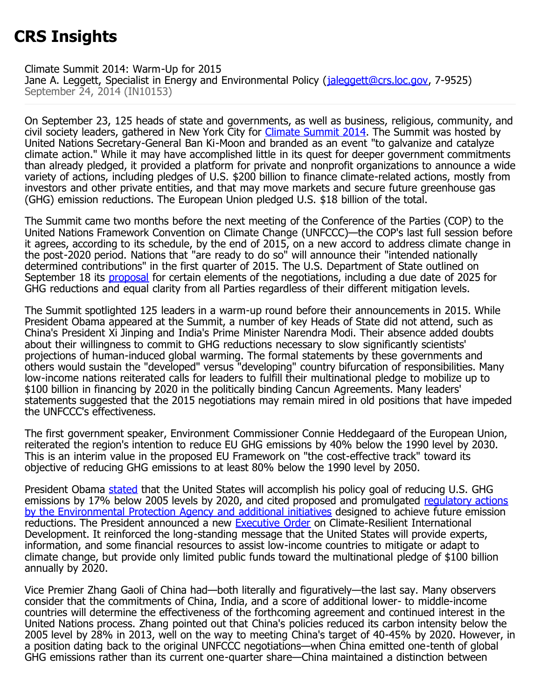## **CRS Insights**

Climate Summit 2014: Warm-Up for 2015

Jane A. Leggett, Specialist in Energy and Environmental Policy (*[jaleggett@crs.loc.gov,](mailto:jaleggett@crs.loc.gov) 7-9525*) September 24, 2014 (IN10153)

On September 23, 125 heads of state and governments, as well as business, religious, community, and civil society leaders, gathered in New York City for [Climate Summit 2014](http://www.un.org/climatechange/summit/programme/). The Summit was hosted by United Nations Secretary-General Ban Ki-Moon and branded as an event "to galvanize and catalyze climate action." While it may have accomplished little in its quest for deeper government commitments than already pledged, it provided a platform for private and nonprofit organizations to announce a wide variety of actions, including pledges of U.S. \$200 billion to finance climate-related actions, mostly from investors and other private entities, and that may move markets and secure future greenhouse gas (GHG) emission reductions. The European Union pledged U.S. \$18 billion of the total.

The Summit came two months before the next meeting of the Conference of the Parties (COP) to the United Nations Framework Convention on Climate Change (UNFCCC)—the COP's last full session before it agrees, according to its schedule, by the end of 2015, on a new accord to address climate change in the post-2020 period. Nations that "are ready to do so" will announce their "intended nationally determined contributions" in the first quarter of 2015. The U.S. Department of State outlined on September 18 its [proposal](http://unfccc.int/files/bodies/awg/application/pdf/us_submission_fall_2014_final.pdf) for certain elements of the negotiations, including a due date of 2025 for GHG reductions and equal clarity from all Parties regardless of their different mitigation levels.

The Summit spotlighted 125 leaders in a warm-up round before their announcements in 2015. While President Obama appeared at the Summit, a number of key Heads of State did not attend, such as China's President Xi Jinping and India's Prime Minister Narendra Modi. Their absence added doubts about their willingness to commit to GHG reductions necessary to slow significantly scientists' projections of human-induced global warming. The formal statements by these governments and others would sustain the "developed" versus "developing" country bifurcation of responsibilities. Many low-income nations reiterated calls for leaders to fulfill their multinational pledge to mobilize up to \$100 billion in financing by 2020 in the politically binding Cancun Agreements. Many leaders' statements suggested that the 2015 negotiations may remain mired in old positions that have impeded the UNFCCC's effectiveness.

The first government speaker, Environment Commissioner Connie Heddegaard of the European Union, reiterated the region's intention to reduce EU GHG emissions by 40% below the 1990 level by 2030. This is an interim value in the proposed EU Framework on "the cost-effective track" toward its objective of reducing GHG emissions to at least 80% below the 1990 level by 2050.

President Obama [stated](http://www.whitehouse.gov/the-press-office/2014/09/23/remarks-president-un-climate-change-summit) that the United States will accomplish his policy goal of reducing U.S. GHG emissions by 17% below 2005 levels by 2020, and cited proposed and promulgated [regulatory actions](http://mercury.crsdomain.loc.gov:5555/CRSMercury/loader.aspxhttp:/www.whitehouse.gov/the-press-office/2014/09/23/fact-sheet-president-obama-announces-new-actions-strengthen-global-resil) [by the Environmental Protection Agency and additional initiatives](http://mercury.crsdomain.loc.gov:5555/CRSMercury/loader.aspxhttp:/www.whitehouse.gov/the-press-office/2014/09/23/fact-sheet-president-obama-announces-new-actions-strengthen-global-resil) designed to achieve future emission reductions. The President announced a new **Executive Order** on Climate-Resilient International Development. It reinforced the long-standing message that the United States will provide experts, information, and some financial resources to assist low-income countries to mitigate or adapt to climate change, but provide only limited public funds toward the multinational pledge of \$100 billion annually by 2020.

Vice Premier Zhang Gaoli of China had—both literally and figuratively—the last say. Many observers consider that the commitments of China, India, and a score of additional lower- to middle-income countries will determine the effectiveness of the forthcoming agreement and continued interest in the United Nations process. Zhang pointed out that China's policies reduced its carbon intensity below the 2005 level by 28% in 2013, well on the way to meeting China's target of 40-45% by 2020. However, in a position dating back to the original UNFCCC negotiations—when China emitted one-tenth of global GHG emissions rather than its current one-quarter share—China maintained a distinction between